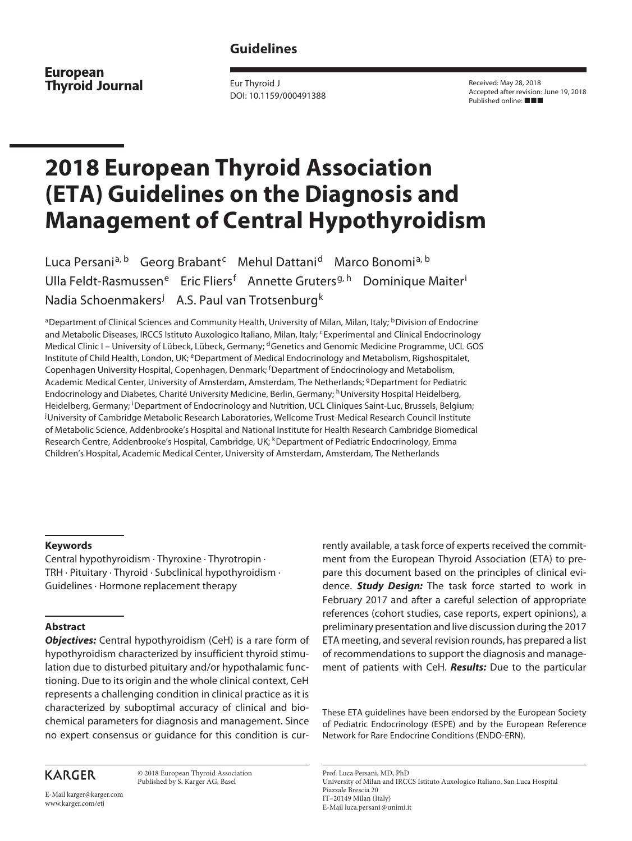## **Guidelines**

**European Thyroid Journal** 

Eur Thyroid J DOI: 10.1159/000491388 Received: May 28, 2018 Accepted after revision: June 19, 2018 Published online: ■■■

# **2018 European Thyroid Association (ETA) Guidelines on the Diagnosis and Management of Central Hypothyroidism**

Luca Persani<sup>a, b</sup> Georg Brabant<sup>c</sup> Mehul Dattani<sup>d</sup> Marco Bonomi<sup>a, b</sup> Ulla Feldt-Rasmussen<sup>e</sup> Eric Fliers<sup>f</sup> Annette Gruters<sup>g, h</sup> Dominique Maiter<sup>i</sup> Nadia Schoenmakers<sup>j</sup> A.S. Paul van Trotsenburg<sup>k</sup>

aDepartment of Clinical Sciences and Community Health, University of Milan, Milan, Italy; **bDivision of Endocrine** and Metabolic Diseases, IRCCS Istituto Auxologico Italiano, Milan, Italy; 'Experimental and Clinical Endocrinology Medical Clinic I – University of Lübeck, Lübeck, Germany; <sup>d</sup>Genetics and Genomic Medicine Programme, UCL GOS Institute of Child Health, London, UK; <sup>e</sup>Department of Medical Endocrinology and Metabolism, Rigshospitalet, Copenhagen University Hospital, Copenhagen, Denmark; <sup>f</sup> Department of Endocrinology and Metabolism, Academic Medical Center, University of Amsterdam, Amsterdam, The Netherlands; <sup>g</sup>Department for Pediatric Endocrinology and Diabetes, Charité University Medicine, Berlin, Germany; hUniversity Hospital Heidelberg, Heidelberg, Germany; <sup>i</sup> Department of Endocrinology and Nutrition, UCL Cliniques Saint-Luc, Brussels, Belgium; j University of Cambridge Metabolic Research Laboratories, Wellcome Trust-Medical Research Council Institute of Metabolic Science, Addenbrooke's Hospital and National Institute for Health Research Cambridge Biomedical Research Centre, Addenbrooke's Hospital, Cambridge, UK; R Department of Pediatric Endocrinology, Emma Children's Hospital, Academic Medical Center, University of Amsterdam, Amsterdam, The Netherlands

#### **Keywords**

Central hypothyroidism · Thyroxine · Thyrotropin · TRH · Pituitary · Thyroid · Subclinical hypothyroidism · Guidelines · Hormone replacement therapy

## **Abstract**

*Objectives:* Central hypothyroidism (CeH) is a rare form of hypothyroidism characterized by insufficient thyroid stimulation due to disturbed pituitary and/or hypothalamic functioning. Due to its origin and the whole clinical context, CeH represents a challenging condition in clinical practice as it is characterized by suboptimal accuracy of clinical and biochemical parameters for diagnosis and management. Since no expert consensus or guidance for this condition is cur-

**KARGER** 

© 2018 European Thyroid Association Published by S. Karger AG, Basel

E-Mail karger@karger.com www.karger.com/etj

rently available, a task force of experts received the commitment from the European Thyroid Association (ETA) to prepare this document based on the principles of clinical evidence. *Study Design:* The task force started to work in February 2017 and after a careful selection of appropriate references (cohort studies, case reports, expert opinions), a preliminary presentation and live discussion during the 2017 ETA meeting, and several revision rounds, has prepared a list of recommendations to support the diagnosis and management of patients with CeH. *Results:* Due to the particular

These ETA guidelines have been endorsed by the European Society of Pediatric Endocrinology (ESPE) and by the European Reference Network for Rare Endocrine Conditions (ENDO-ERN).

Prof. Luca Persani, MD, PhD University of Milan and IRCCS Istituto Auxologico Italiano, San Luca Hospital Piazzale Brescia 20 IT–20149 Milan (Italy) E-Mail luca.persani@unimi.it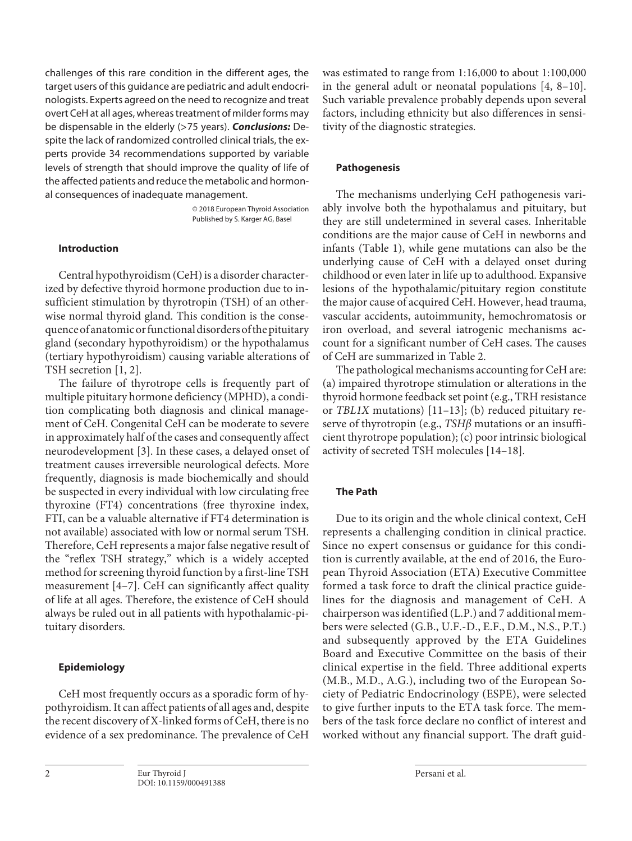challenges of this rare condition in the different ages, the target users of this guidance are pediatric and adult endocrinologists. Experts agreed on the need to recognize and treat overt CeH at all ages, whereas treatment of milder forms may be dispensable in the elderly (>75 years). *Conclusions:* Despite the lack of randomized controlled clinical trials, the experts provide 34 recommendations supported by variable levels of strength that should improve the quality of life of the affected patients and reduce the metabolic and hormonal consequences of inadequate management.

> © 2018 European Thyroid Association Published by S. Karger AG, Basel

## **Introduction**

Central hypothyroidism (CeH) is a disorder characterized by defective thyroid hormone production due to insufficient stimulation by thyrotropin (TSH) of an otherwise normal thyroid gland. This condition is the consequence of anatomic or functional disorders of the pituitary gland (secondary hypothyroidism) or the hypothalamus (tertiary hypothyroidism) causing variable alterations of TSH secretion [1, 2].

The failure of thyrotrope cells is frequently part of multiple pituitary hormone deficiency (MPHD), a condition complicating both diagnosis and clinical management of CeH. Congenital CeH can be moderate to severe in approximately half of the cases and consequently affect neurodevelopment [3]. In these cases, a delayed onset of treatment causes irreversible neurological defects. More frequently, diagnosis is made biochemically and should be suspected in every individual with low circulating free thyroxine (FT4) concentrations (free thyroxine index, FTI, can be a valuable alternative if FT4 determination is not available) associated with low or normal serum TSH. Therefore, CeH represents a major false negative result of the "reflex TSH strategy," which is a widely accepted method for screening thyroid function by a first-line TSH measurement [4–7]. CeH can significantly affect quality of life at all ages. Therefore, the existence of CeH should always be ruled out in all patients with hypothalamic-pituitary disorders.

## **Epidemiology**

CeH most frequently occurs as a sporadic form of hypothyroidism. It can affect patients of all ages and, despite the recent discovery of X-linked forms of CeH, there is no evidence of a sex predominance. The prevalence of CeH was estimated to range from 1:16,000 to about 1:100,000 in the general adult or neonatal populations [4, 8–10]. Such variable prevalence probably depends upon several factors, including ethnicity but also differences in sensitivity of the diagnostic strategies.

#### **Pathogenesis**

The mechanisms underlying CeH pathogenesis variably involve both the hypothalamus and pituitary, but they are still undetermined in several cases. Inheritable conditions are the major cause of CeH in newborns and infants (Table 1), while gene mutations can also be the underlying cause of CeH with a delayed onset during childhood or even later in life up to adulthood. Expansive lesions of the hypothalamic/pituitary region constitute the major cause of acquired CeH. However, head trauma, vascular accidents, autoimmunity, hemochromatosis or iron overload, and several iatrogenic mechanisms account for a significant number of CeH cases. The causes of CeH are summarized in Table 2.

The pathological mechanisms accounting for CeH are: (a) impaired thyrotrope stimulation or alterations in the thyroid hormone feedback set point (e.g., TRH resistance or *TBL1X* mutations) [11–13]; (b) reduced pituitary reserve of thyrotropin (e.g., *TSHβ* mutations or an insufficient thyrotrope population); (c) poor intrinsic biological activity of secreted TSH molecules [14–18].

## **The Path**

Due to its origin and the whole clinical context, CeH represents a challenging condition in clinical practice. Since no expert consensus or guidance for this condition is currently available, at the end of 2016, the European Thyroid Association (ETA) Executive Committee formed a task force to draft the clinical practice guidelines for the diagnosis and management of CeH. A chairperson was identified (L.P.) and 7 additional members were selected (G.B., U.F.-D., E.F., D.M., N.S., P.T.) and subsequently approved by the ETA Guidelines Board and Executive Committee on the basis of their clinical expertise in the field. Three additional experts (M.B., M.D., A.G.), including two of the European Society of Pediatric Endocrinology (ESPE), were selected to give further inputs to the ETA task force. The members of the task force declare no conflict of interest and worked without any financial support. The draft guid-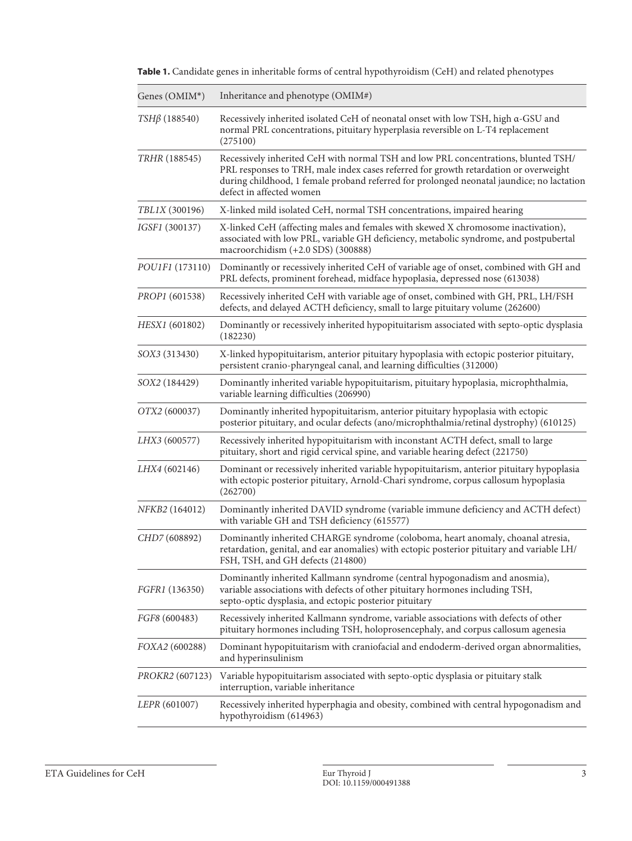| Table 1. Candidate genes in inheritable forms of central hypothyroidism (CeH) and related phenotypes |  |  |
|------------------------------------------------------------------------------------------------------|--|--|
|------------------------------------------------------------------------------------------------------|--|--|

| Genes (OMIM*)          | Inheritance and phenotype (OMIM#)                                                                                                                                                                                                                                                                   |
|------------------------|-----------------------------------------------------------------------------------------------------------------------------------------------------------------------------------------------------------------------------------------------------------------------------------------------------|
| TSHβ (188540)          | Recessively inherited isolated CeH of neonatal onset with low TSH, high a-GSU and<br>normal PRL concentrations, pituitary hyperplasia reversible on L-T4 replacement<br>(275100)                                                                                                                    |
| TRHR (188545)          | Recessively inherited CeH with normal TSH and low PRL concentrations, blunted TSH/<br>PRL responses to TRH, male index cases referred for growth retardation or overweight<br>during childhood, 1 female proband referred for prolonged neonatal jaundice; no lactation<br>defect in affected women |
| TBL1X (300196)         | X-linked mild isolated CeH, normal TSH concentrations, impaired hearing                                                                                                                                                                                                                             |
| <i>IGSF1</i> (300137)  | X-linked CeH (affecting males and females with skewed X chromosome inactivation),<br>associated with low PRL, variable GH deficiency, metabolic syndrome, and postpubertal<br>macroorchidism $(+2.0$ SDS $)$ (300888)                                                                               |
| <i>POU1F1</i> (173110) | Dominantly or recessively inherited CeH of variable age of onset, combined with GH and<br>PRL defects, prominent forehead, midface hypoplasia, depressed nose (613038)                                                                                                                              |
| PROP1 (601538)         | Recessively inherited CeH with variable age of onset, combined with GH, PRL, LH/FSH<br>defects, and delayed ACTH deficiency, small to large pituitary volume (262600)                                                                                                                               |
| HESX1 (601802)         | Dominantly or recessively inherited hypopituitarism associated with septo-optic dysplasia<br>(182230)                                                                                                                                                                                               |
| SOX3 (313430)          | X-linked hypopituitarism, anterior pituitary hypoplasia with ectopic posterior pituitary,<br>persistent cranio-pharyngeal canal, and learning difficulties (312000)                                                                                                                                 |
| SOX2 (184429)          | Dominantly inherited variable hypopituitarism, pituitary hypoplasia, microphthalmia,<br>variable learning difficulties (206990)                                                                                                                                                                     |
| OTX2 (600037)          | Dominantly inherited hypopituitarism, anterior pituitary hypoplasia with ectopic<br>posterior pituitary, and ocular defects (ano/microphthalmia/retinal dystrophy) (610125)                                                                                                                         |
| LHX3 (600577)          | Recessively inherited hypopituitarism with inconstant ACTH defect, small to large<br>pituitary, short and rigid cervical spine, and variable hearing defect (221750)                                                                                                                                |
| LHX4 (602146)          | Dominant or recessively inherited variable hypopituitarism, anterior pituitary hypoplasia<br>with ectopic posterior pituitary, Arnold-Chari syndrome, corpus callosum hypoplasia<br>(262700)                                                                                                        |
| <i>NFKB2</i> (164012)  | Dominantly inherited DAVID syndrome (variable immune deficiency and ACTH defect)<br>with variable GH and TSH deficiency (615577)                                                                                                                                                                    |
| CHD7 (608892)          | Dominantly inherited CHARGE syndrome (coloboma, heart anomaly, choanal atresia,<br>retardation, genital, and ear anomalies) with ectopic posterior pituitary and variable LH/<br>FSH, TSH, and GH defects (214800)                                                                                  |
| FGFR1 (136350)         | Dominantly inherited Kallmann syndrome (central hypogonadism and anosmia),<br>variable associations with defects of other pituitary hormones including TSH,<br>septo-optic dysplasia, and ectopic posterior pituitary                                                                               |
| FGF8 (600483)          | Recessively inherited Kallmann syndrome, variable associations with defects of other<br>pituitary hormones including TSH, holoprosencephaly, and corpus callosum agenesia                                                                                                                           |
| FOXA2 (600288)         | Dominant hypopituitarism with craniofacial and endoderm-derived organ abnormalities,<br>and hyperinsulinism                                                                                                                                                                                         |
| PROKR2 (607123)        | Variable hypopituitarism associated with septo-optic dysplasia or pituitary stalk<br>interruption, variable inheritance                                                                                                                                                                             |
| <i>LEPR</i> (601007)   | Recessively inherited hyperphagia and obesity, combined with central hypogonadism and<br>hypothyroidism (614963)                                                                                                                                                                                    |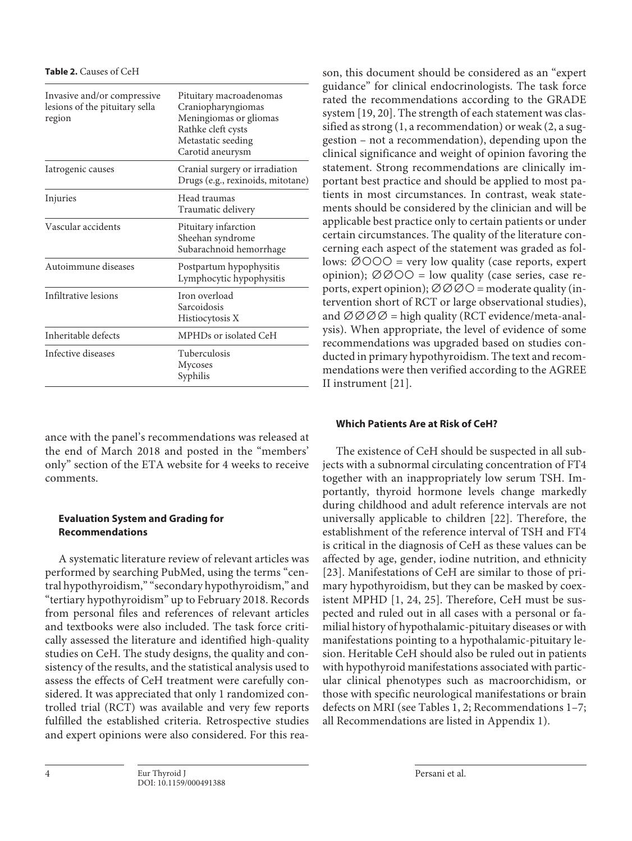**Table 2.** Causes of CeH

| Invasive and/or compressive<br>lesions of the pituitary sella<br>region | Pituitary macroadenomas<br>Craniopharyngiomas<br>Meningiomas or gliomas<br>Rathke cleft cysts<br>Metastatic seeding<br>Carotid aneurysm |
|-------------------------------------------------------------------------|-----------------------------------------------------------------------------------------------------------------------------------------|
| Iatrogenic causes                                                       | Cranial surgery or irradiation<br>Drugs (e.g., rexinoids, mitotane)                                                                     |
| Injuries                                                                | Head traumas<br>Traumatic delivery                                                                                                      |
| Vascular accidents                                                      | Pituitary infarction<br>Sheehan syndrome<br>Subarachnoid hemorrhage                                                                     |
| Autoimmune diseases                                                     | Postpartum hypophysitis<br>Lymphocytic hypophysitis                                                                                     |
| Infiltrative lesions                                                    | Iron overload<br>Sarcoidosis<br>Histiocytosis X                                                                                         |
| Inheritable defects                                                     | MPHDs or isolated CeH                                                                                                                   |
| Infective diseases                                                      | Tuberculosis<br>Mycoses<br>Syphilis                                                                                                     |

ance with the panel's recommendations was released at the end of March 2018 and posted in the "members' only" section of the ETA website for 4 weeks to receive comments.

## **Evaluation System and Grading for Recommendations**

A systematic literature review of relevant articles was performed by searching PubMed, using the terms "central hypothyroidism," "secondary hypothyroidism," and "tertiary hypothyroidism" up to February 2018. Records from personal files and references of relevant articles and textbooks were also included. The task force critically assessed the literature and identified high-quality studies on CeH. The study designs, the quality and consistency of the results, and the statistical analysis used to assess the effects of CeH treatment were carefully considered. It was appreciated that only 1 randomized controlled trial (RCT) was available and very few reports fulfilled the established criteria. Retrospective studies and expert opinions were also considered. For this reason, this document should be considered as an "expert guidance" for clinical endocrinologists. The task force rated the recommendations according to the GRADE system [19, 20]. The strength of each statement was classified as strong (1, a recommendation) or weak (2, a suggestion – not a recommendation), depending upon the clinical significance and weight of opinion favoring the statement. Strong recommendations are clinically important best practice and should be applied to most patients in most circumstances. In contrast, weak statements should be considered by the clinician and will be applicable best practice only to certain patients or under certain circumstances. The quality of the literature concerning each aspect of the statement was graded as follows:  $\emptyset$  OOO = very low quality (case reports, expert opinion);  $ØØOO = low$  quality (case series, case reports, expert opinion);  $\emptyset \emptyset \emptyset \bigcirc \emptyset =$  moderate quality (intervention short of RCT or large observational studies), and  $\emptyset$   $\emptyset$   $\emptyset$   $\emptyset$  = high quality (RCT evidence/meta-analysis). When appropriate, the level of evidence of some recommendations was upgraded based on studies conducted in primary hypothyroidism. The text and recommendations were then verified according to the AGREE II instrument [21].

## **Which Patients Are at Risk of CeH?**

The existence of CeH should be suspected in all subjects with a subnormal circulating concentration of FT4 together with an inappropriately low serum TSH. Importantly, thyroid hormone levels change markedly during childhood and adult reference intervals are not universally applicable to children [22]. Therefore, the establishment of the reference interval of TSH and FT4 is critical in the diagnosis of CeH as these values can be affected by age, gender, iodine nutrition, and ethnicity [23]. Manifestations of CeH are similar to those of primary hypothyroidism, but they can be masked by coexistent MPHD [1, 24, 25]. Therefore, CeH must be suspected and ruled out in all cases with a personal or familial history of hypothalamic-pituitary diseases or with manifestations pointing to a hypothalamic-pituitary lesion. Heritable CeH should also be ruled out in patients with hypothyroid manifestations associated with particular clinical phenotypes such as macroorchidism, or those with specific neurological manifestations or brain defects on MRI (see Tables 1, 2; Recommendations 1–7; all Recommendations are listed in Appendix 1).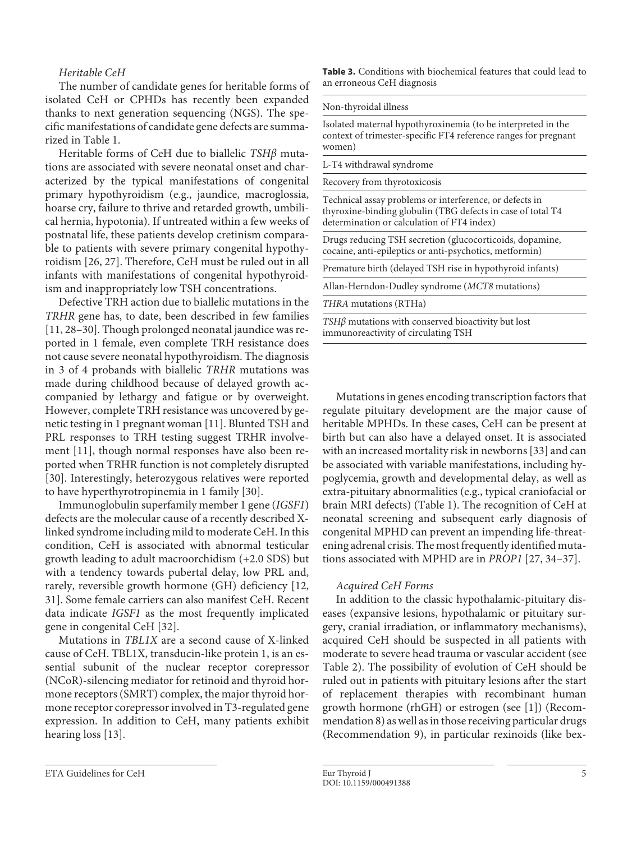## *Heritable CeH*

The number of candidate genes for heritable forms of isolated CeH or CPHDs has recently been expanded thanks to next generation sequencing (NGS). The specific manifestations of candidate gene defects are summarized in Table 1.

Heritable forms of CeH due to biallelic *TSHβ* mutations are associated with severe neonatal onset and characterized by the typical manifestations of congenital primary hypothyroidism (e.g., jaundice, macroglossia, hoarse cry, failure to thrive and retarded growth, umbilical hernia, hypotonia). If untreated within a few weeks of postnatal life, these patients develop cretinism comparable to patients with severe primary congenital hypothyroidism [26, 27]. Therefore, CeH must be ruled out in all infants with manifestations of congenital hypothyroidism and inappropriately low TSH concentrations.

Defective TRH action due to biallelic mutations in the *TRHR* gene has, to date, been described in few families [11, 28–30]. Though prolonged neonatal jaundice was reported in 1 female, even complete TRH resistance does not cause severe neonatal hypothyroidism. The diagnosis in 3 of 4 probands with biallelic *TRHR* mutations was made during childhood because of delayed growth accompanied by lethargy and fatigue or by overweight. However, complete TRH resistance was uncovered by genetic testing in 1 pregnant woman [11]. Blunted TSH and PRL responses to TRH testing suggest TRHR involvement [11], though normal responses have also been reported when TRHR function is not completely disrupted [30]. Interestingly, heterozygous relatives were reported to have hyperthyrotropinemia in 1 family [30].

Immunoglobulin superfamily member 1 gene (*IGSF1*) defects are the molecular cause of a recently described Xlinked syndrome including mild to moderate CeH. In this condition, CeH is associated with abnormal testicular growth leading to adult macroorchidism (+2.0 SDS) but with a tendency towards pubertal delay, low PRL and, rarely, reversible growth hormone (GH) deficiency [12, 31]. Some female carriers can also manifest CeH. Recent data indicate *IGSF1* as the most frequently implicated gene in congenital CeH [32].

Mutations in *TBL1X* are a second cause of X-linked cause of CeH. TBL1X, transducin-like protein 1, is an essential subunit of the nuclear receptor corepressor (NCoR)-silencing mediator for retinoid and thyroid hormone receptors (SMRT) complex, the major thyroid hormone receptor corepressor involved in T3-regulated gene expression. In addition to CeH, many patients exhibit hearing loss [13].

**Table 3.** Conditions with biochemical features that could lead to an erroneous CeH diagnosis

#### Non-thyroidal illness

Isolated maternal hypothyroxinemia (to be interpreted in the context of trimester-specific FT4 reference ranges for pregnant women)

L-T4 withdrawal syndrome

Recovery from thyrotoxicosis

Technical assay problems or interference, or defects in thyroxine-binding globulin (TBG defects in case of total T4 determination or calculation of FT4 index)

Drugs reducing TSH secretion (glucocorticoids, dopamine, cocaine, anti-epileptics or anti-psychotics, metformin)

Premature birth (delayed TSH rise in hypothyroid infants)

Allan-Herndon-Dudley syndrome (*MCT8* mutations)

*THRA* mutations (RTHa)

*TSHβ* mutations with conserved bioactivity but lost immunoreactivity of circulating TSH

Mutations in genes encoding transcription factors that regulate pituitary development are the major cause of heritable MPHDs. In these cases, CeH can be present at birth but can also have a delayed onset. It is associated with an increased mortality risk in newborns [33] and can be associated with variable manifestations, including hypoglycemia, growth and developmental delay, as well as extra-pituitary abnormalities (e.g., typical craniofacial or brain MRI defects) (Table 1). The recognition of CeH at neonatal screening and subsequent early diagnosis of congenital MPHD can prevent an impending life-threatening adrenal crisis. The most frequently identified mutations associated with MPHD are in *PROP1* [27, 34–37].

## *Acquired CeH Forms*

In addition to the classic hypothalamic-pituitary diseases (expansive lesions, hypothalamic or pituitary surgery, cranial irradiation, or inflammatory mechanisms), acquired CeH should be suspected in all patients with moderate to severe head trauma or vascular accident (see Table 2). The possibility of evolution of CeH should be ruled out in patients with pituitary lesions after the start of replacement therapies with recombinant human growth hormone (rhGH) or estrogen (see [1]) (Recommendation 8) as well as in those receiving particular drugs (Recommendation 9), in particular rexinoids (like bex-

ETA Guidelines for CeH 5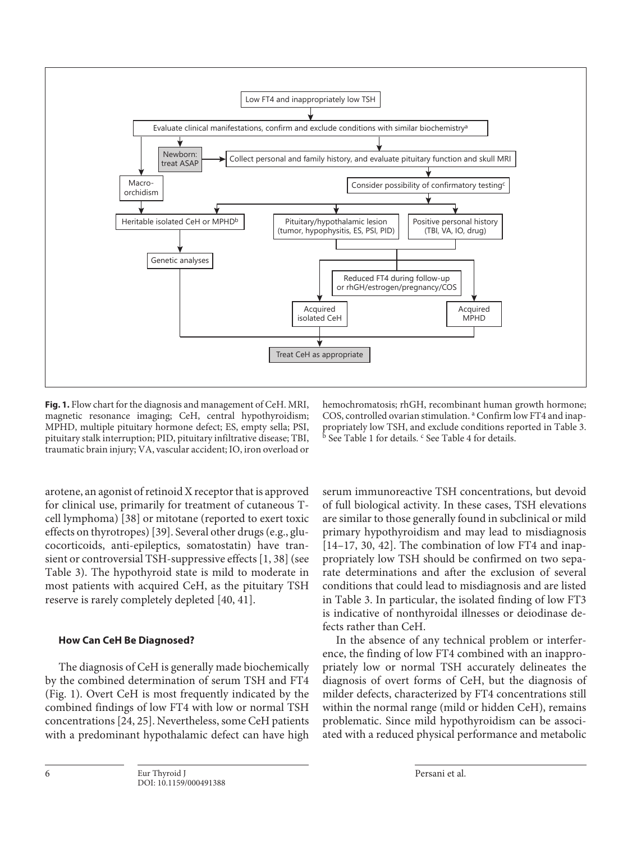

**Fig. 1.** Flow chart for the diagnosis and management of CeH. MRI, magnetic resonance imaging; CeH, central hypothyroidism; MPHD, multiple pituitary hormone defect; ES, empty sella; PSI, pituitary stalk interruption; PID, pituitary infiltrative disease; TBI, traumatic brain injury; VA, vascular accident; IO, iron overload or

hemochromatosis; rhGH, recombinant human growth hormone; COS, controlled ovarian stimulation. <sup>a</sup> Confirm low FT4 and inappropriately low TSH, and exclude conditions reported in Table 3. <sup>b</sup> See Table 1 for details. <sup>c</sup> See Table 4 for details.

arotene, an agonist of retinoid X receptor that is approved for clinical use, primarily for treatment of cutaneous Tcell lymphoma) [38] or mitotane (reported to exert toxic effects on thyrotropes) [39]. Several other drugs (e.g., glucocorticoids, anti-epileptics, somatostatin) have transient or controversial TSH-suppressive effects [1, 38] (see Table 3). The hypothyroid state is mild to moderate in most patients with acquired CeH, as the pituitary TSH reserve is rarely completely depleted [40, 41].

#### **How Can CeH Be Diagnosed?**

The diagnosis of CeH is generally made biochemically by the combined determination of serum TSH and FT4 (Fig. 1). Overt CeH is most frequently indicated by the combined findings of low FT4 with low or normal TSH concentrations [24, 25]. Nevertheless, some CeH patients with a predominant hypothalamic defect can have high

serum immunoreactive TSH concentrations, but devoid of full biological activity. In these cases, TSH elevations are similar to those generally found in subclinical or mild primary hypothyroidism and may lead to misdiagnosis [14–17, 30, 42]. The combination of low FT4 and inappropriately low TSH should be confirmed on two separate determinations and after the exclusion of several conditions that could lead to misdiagnosis and are listed in Table 3. In particular, the isolated finding of low FT3 is indicative of nonthyroidal illnesses or deiodinase defects rather than CeH.

In the absence of any technical problem or interference, the finding of low FT4 combined with an inappropriately low or normal TSH accurately delineates the diagnosis of overt forms of CeH, but the diagnosis of milder defects, characterized by FT4 concentrations still within the normal range (mild or hidden CeH), remains problematic. Since mild hypothyroidism can be associated with a reduced physical performance and metabolic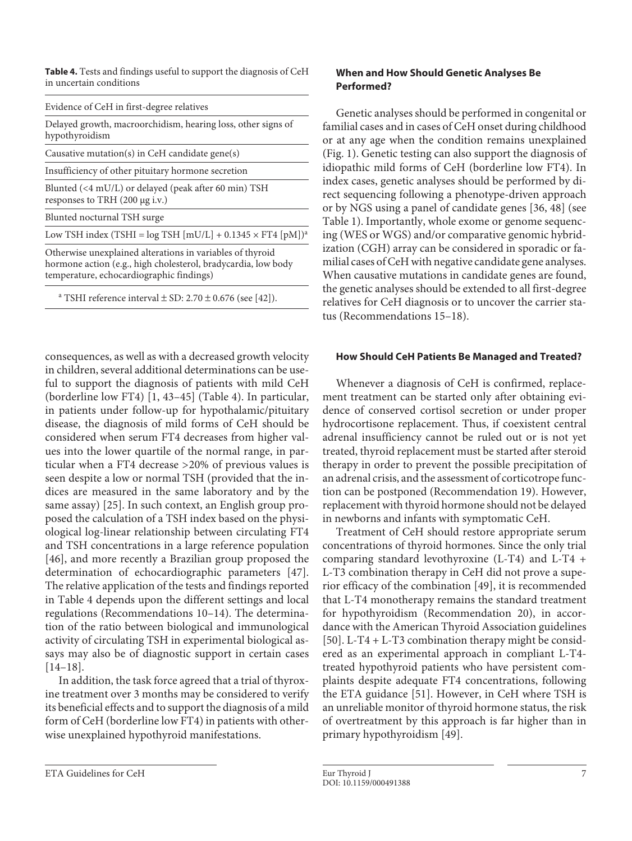**Table 4.** Tests and findings useful to support the diagnosis of CeH in uncertain conditions

| Evidence of CeH in first-degree relatives                                                                                                                              |
|------------------------------------------------------------------------------------------------------------------------------------------------------------------------|
| Delayed growth, macroorchidism, hearing loss, other signs of<br>hypothyroidism                                                                                         |
| Causative mutation(s) in CeH candidate gene(s)                                                                                                                         |
| Insufficiency of other pituitary hormone secretion                                                                                                                     |
| Blunted (<4 mU/L) or delayed (peak after 60 min) TSH<br>responses to TRH (200 µg i.v.)                                                                                 |
| Blunted nocturnal TSH surge                                                                                                                                            |
| Low TSH index (TSHI = $log$ TSH $[mU/L]$ + 0.1345 $\times$ FT4 $[pM])^a$                                                                                               |
| Otherwise unexplained alterations in variables of thyroid<br>hormone action (e.g., high cholesterol, bradycardia, low body<br>temperature, echocardiographic findings) |
| <sup>a</sup> TSHI reference interval $\pm$ SD: 2.70 $\pm$ 0.676 (see [42]).                                                                                            |

consequences, as well as with a decreased growth velocity in children, several additional determinations can be useful to support the diagnosis of patients with mild CeH (borderline low FT4) [1, 43–45] (Table 4). In particular, in patients under follow-up for hypothalamic/pituitary disease, the diagnosis of mild forms of CeH should be considered when serum FT4 decreases from higher values into the lower quartile of the normal range, in particular when a FT4 decrease >20% of previous values is seen despite a low or normal TSH (provided that the indices are measured in the same laboratory and by the same assay) [25]. In such context, an English group proposed the calculation of a TSH index based on the physiological log-linear relationship between circulating FT4 and TSH concentrations in a large reference population [46], and more recently a Brazilian group proposed the determination of echocardiographic parameters [47]. The relative application of the tests and findings reported in Table 4 depends upon the different settings and local regulations (Recommendations 10–14). The determination of the ratio between biological and immunological activity of circulating TSH in experimental biological assays may also be of diagnostic support in certain cases [14–18].

In addition, the task force agreed that a trial of thyroxine treatment over 3 months may be considered to verify its beneficial effects and to support the diagnosis of a mild form of CeH (borderline low FT4) in patients with otherwise unexplained hypothyroid manifestations.

## **When and How Should Genetic Analyses Be Performed?**

Genetic analyses should be performed in congenital or familial cases and in cases of CeH onset during childhood or at any age when the condition remains unexplained (Fig. 1). Genetic testing can also support the diagnosis of idiopathic mild forms of CeH (borderline low FT4). In index cases, genetic analyses should be performed by direct sequencing following a phenotype-driven approach or by NGS using a panel of candidate genes [36, 48] (see Table 1). Importantly, whole exome or genome sequencing (WES or WGS) and/or comparative genomic hybridization (CGH) array can be considered in sporadic or familial cases of CeH with negative candidate gene analyses. When causative mutations in candidate genes are found, the genetic analyses should be extended to all first-degree relatives for CeH diagnosis or to uncover the carrier status (Recommendations 15–18).

## **How Should CeH Patients Be Managed and Treated?**

Whenever a diagnosis of CeH is confirmed, replacement treatment can be started only after obtaining evidence of conserved cortisol secretion or under proper hydrocortisone replacement. Thus, if coexistent central adrenal insufficiency cannot be ruled out or is not yet treated, thyroid replacement must be started after steroid therapy in order to prevent the possible precipitation of an adrenal crisis, and the assessment of corticotrope function can be postponed (Recommendation 19). However, replacement with thyroid hormone should not be delayed in newborns and infants with symptomatic CeH.

Treatment of CeH should restore appropriate serum concentrations of thyroid hormones. Since the only trial comparing standard levothyroxine (L-T4) and L-T4 + L-T3 combination therapy in CeH did not prove a superior efficacy of the combination [49], it is recommended that L-T4 monotherapy remains the standard treatment for hypothyroidism (Recommendation 20), in accordance with the American Thyroid Association guidelines [50]. L-T4 + L-T3 combination therapy might be considered as an experimental approach in compliant L-T4 treated hypothyroid patients who have persistent complaints despite adequate FT4 concentrations, following the ETA guidance [51]. However, in CeH where TSH is an unreliable monitor of thyroid hormone status, the risk of overtreatment by this approach is far higher than in primary hypothyroidism [49].

ETA Guidelines for CeH and The Eur Thyroid J 7 7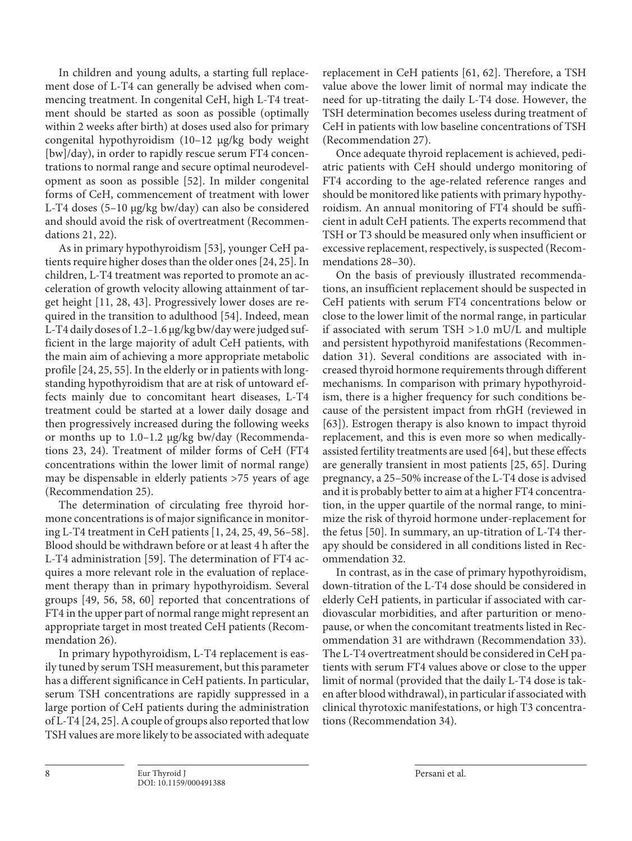In children and young adults, a starting full replacement dose of L-T4 can generally be advised when commencing treatment. In congenital CeH, high L-T4 treatment should be started as soon as possible (optimally within 2 weeks after birth) at doses used also for primary congenital hypothyroidism (10–12 μg/kg body weight [bw]/day), in order to rapidly rescue serum FT4 concentrations to normal range and secure optimal neurodevelopment as soon as possible [52]. In milder congenital forms of CeH, commencement of treatment with lower L-T4 doses (5–10 μg/kg bw/day) can also be considered and should avoid the risk of overtreatment (Recommendations 21, 22).

As in primary hypothyroidism [53], younger CeH patients require higher doses than the older ones [24, 25]. In children, L-T4 treatment was reported to promote an acceleration of growth velocity allowing attainment of target height [11, 28, 43]. Progressively lower doses are required in the transition to adulthood [54]. Indeed, mean L-T4 daily doses of 1.2–1.6 μg/kg bw/day were judged sufficient in the large majority of adult CeH patients, with the main aim of achieving a more appropriate metabolic profile [24, 25, 55]. In the elderly or in patients with longstanding hypothyroidism that are at risk of untoward effects mainly due to concomitant heart diseases, L-T4 treatment could be started at a lower daily dosage and then progressively increased during the following weeks or months up to 1.0–1.2 μg/kg bw/day (Recommendations 23, 24). Treatment of milder forms of CeH (FT4 concentrations within the lower limit of normal range) may be dispensable in elderly patients >75 years of age (Recommendation 25).

The determination of circulating free thyroid hormone concentrations is of major significance in monitoring L-T4 treatment in CeH patients [1, 24, 25, 49, 56–58]. Blood should be withdrawn before or at least 4 h after the L-T4 administration [59]. The determination of FT4 acquires a more relevant role in the evaluation of replacement therapy than in primary hypothyroidism. Several groups [49, 56, 58, 60] reported that concentrations of FT4 in the upper part of normal range might represent an appropriate target in most treated CeH patients (Recommendation 26).

In primary hypothyroidism, L-T4 replacement is easily tuned by serum TSH measurement, but this parameter has a different significance in CeH patients. In particular, serum TSH concentrations are rapidly suppressed in a large portion of CeH patients during the administration of L-T4 [24, 25]. A couple of groups also reported that low TSH values are more likely to be associated with adequate replacement in CeH patients [61, 62]. Therefore, a TSH value above the lower limit of normal may indicate the need for up-titrating the daily L-T4 dose. However, the TSH determination becomes useless during treatment of CeH in patients with low baseline concentrations of TSH (Recommendation 27).

Once adequate thyroid replacement is achieved, pediatric patients with CeH should undergo monitoring of FT4 according to the age-related reference ranges and should be monitored like patients with primary hypothyroidism. An annual monitoring of FT4 should be sufficient in adult CeH patients. The experts recommend that TSH or T3 should be measured only when insufficient or excessive replacement, respectively, is suspected (Recommendations 28–30).

On the basis of previously illustrated recommendations, an insufficient replacement should be suspected in CeH patients with serum FT4 concentrations below or close to the lower limit of the normal range, in particular if associated with serum TSH >1.0 mU/L and multiple and persistent hypothyroid manifestations (Recommendation 31). Several conditions are associated with increased thyroid hormone requirements through different mechanisms. In comparison with primary hypothyroidism, there is a higher frequency for such conditions because of the persistent impact from rhGH (reviewed in [63]). Estrogen therapy is also known to impact thyroid replacement, and this is even more so when medicallyassisted fertility treatments are used [64], but these effects are generally transient in most patients [25, 65]. During pregnancy, a 25–50% increase of the L-T4 dose is advised and it is probably better to aim at a higher FT4 concentration, in the upper quartile of the normal range, to minimize the risk of thyroid hormone under-replacement for the fetus [50]. In summary, an up-titration of L-T4 therapy should be considered in all conditions listed in Recommendation 32.

In contrast, as in the case of primary hypothyroidism, down-titration of the L-T4 dose should be considered in elderly CeH patients, in particular if associated with cardiovascular morbidities, and after parturition or menopause, or when the concomitant treatments listed in Recommendation 31 are withdrawn (Recommendation 33). The L-T4 overtreatment should be considered in CeH patients with serum FT4 values above or close to the upper limit of normal (provided that the daily L-T4 dose is taken after blood withdrawal), in particular if associated with clinical thyrotoxic manifestations, or high T3 concentrations (Recommendation 34).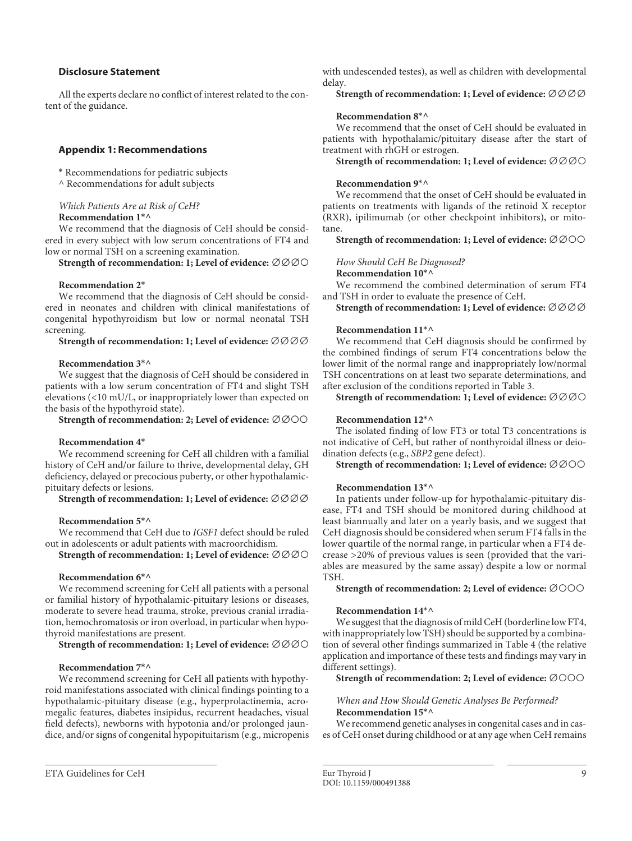## **Disclosure Statement**

All the experts declare no conflict of interest related to the content of the guidance.

## **Appendix 1: Recommendations**

\* Recommendations for pediatric subjects

^ Recommendations for adult subjects

*Which Patients Are at Risk of CeH?* **Recommendation 1**\***^**

We recommend that the diagnosis of CeH should be considered in every subject with low serum concentrations of FT4 and low or normal TSH on a screening examination.

**Strength of recommendation: 1; Level of evidence:** ∅∅∅○

#### **Recommendation 2**\*

We recommend that the diagnosis of CeH should be considered in neonates and children with clinical manifestations of congenital hypothyroidism but low or normal neonatal TSH screening.

#### **Strength of recommendation: 1; Level of evidence:** ∅∅∅∅

#### **Recommendation 3**\***^**

We suggest that the diagnosis of CeH should be considered in patients with a low serum concentration of FT4 and slight TSH elevations (<10 mU/L, or inappropriately lower than expected on the basis of the hypothyroid state).

**Strength of recommendation: 2; Level of evidence:** ∅∅○○

#### **Recommendation 4**\*

We recommend screening for CeH all children with a familial history of CeH and/or failure to thrive, developmental delay, GH deficiency, delayed or precocious puberty, or other hypothalamicpituitary defects or lesions.

**Strength of recommendation: 1; Level of evidence:** ∅∅∅∅

#### **Recommendation 5**\***^**

We recommend that CeH due to *IGSF1* defect should be ruled out in adolescents or adult patients with macroorchidism.

**Strength of recommendation: 1; Level of evidence:** ∅∅∅○

#### **Recommendation 6**\***^**

We recommend screening for CeH all patients with a personal or familial history of hypothalamic-pituitary lesions or diseases, moderate to severe head trauma, stroke, previous cranial irradiation, hemochromatosis or iron overload, in particular when hypothyroid manifestations are present.

**Strength of recommendation: 1; Level of evidence:** ∅∅∅○

#### **Recommendation 7**\***^**

We recommend screening for CeH all patients with hypothyroid manifestations associated with clinical findings pointing to a hypothalamic-pituitary disease (e.g., hyperprolactinemia, acromegalic features, diabetes insipidus, recurrent headaches, visual field defects), newborns with hypotonia and/or prolonged jaundice, and/or signs of congenital hypopituitarism (e.g., micropenis with undescended testes), as well as children with developmental delay.

**Strength of recommendation: 1; Level of evidence:** ∅∅∅∅

#### **Recommendation 8**\***^**

We recommend that the onset of CeH should be evaluated in patients with hypothalamic/pituitary disease after the start of treatment with rhGH or estrogen.

**Strength of recommendation: 1; Level of evidence:** ∅∅∅○

#### **Recommendation 9**\***^**

We recommend that the onset of CeH should be evaluated in patients on treatments with ligands of the retinoid X receptor (RXR), ipilimumab (or other checkpoint inhibitors), or mitotane.

**Strength of recommendation: 1; Level of evidence:** ∅∅○○

#### *How Should CeH Be Diagnosed?*

**Recommendation 10**\***^**

We recommend the combined determination of serum FT4 and TSH in order to evaluate the presence of CeH.

**Strength of recommendation: 1; Level of evidence:** ∅∅∅∅

#### **Recommendation 11**\***^**

We recommend that CeH diagnosis should be confirmed by the combined findings of serum FT4 concentrations below the lower limit of the normal range and inappropriately low/normal TSH concentrations on at least two separate determinations, and after exclusion of the conditions reported in Table 3.

**Strength of recommendation: 1; Level of evidence:** ∅∅∅○

#### **Recommendation 12**\***^**

The isolated finding of low FT3 or total T3 concentrations is not indicative of CeH, but rather of nonthyroidal illness or deiodination defects (e.g., *SBP2* gene defect).

**Strength of recommendation: 1; Level of evidence:** ∅∅○○

#### **Recommendation 13**\***^**

In patients under follow-up for hypothalamic-pituitary disease, FT4 and TSH should be monitored during childhood at least biannually and later on a yearly basis, and we suggest that CeH diagnosis should be considered when serum FT4 falls in the lower quartile of the normal range, in particular when a FT4 decrease >20% of previous values is seen (provided that the variables are measured by the same assay) despite a low or normal TSH.

**Strength of recommendation: 2; Level of evidence:** ∅○○○

#### **Recommendation 14**\***^**

We suggest that the diagnosis of mild CeH (borderline low FT4, with inappropriately low TSH) should be supported by a combination of several other findings summarized in Table 4 (the relative application and importance of these tests and findings may vary in different settings).

**Strength of recommendation: 2; Level of evidence:** ∅○○○

#### *When and How Should Genetic Analyses Be Performed?*  **Recommendation 15**\***^**

We recommend genetic analyses in congenital cases and in cases of CeH onset during childhood or at any age when CeH remains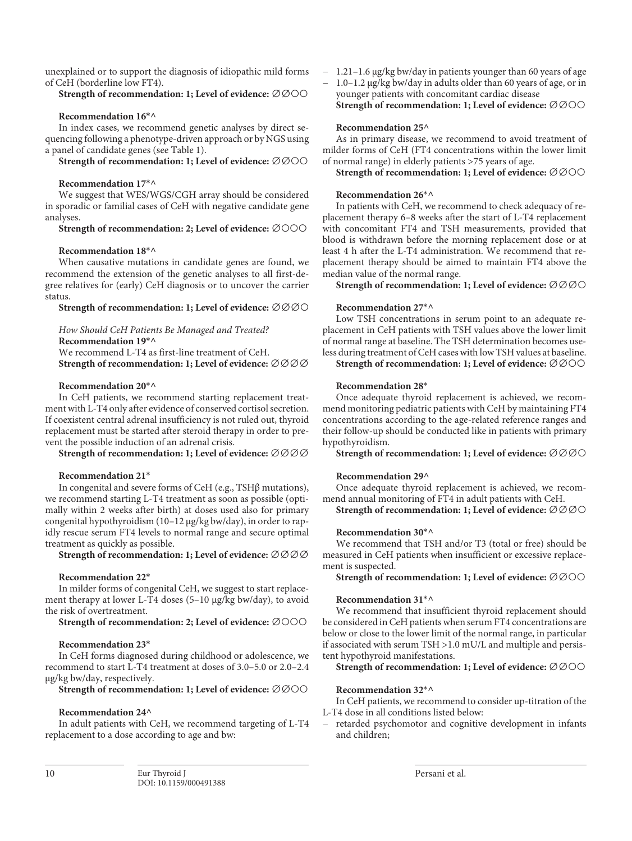unexplained or to support the diagnosis of idiopathic mild forms of CeH (borderline low FT4).

#### **Strength of recommendation: 1; Level of evidence:** ∅∅○○

#### **Recommendation 16**\***^**

In index cases, we recommend genetic analyses by direct sequencing following a phenotype-driven approach or by NGS using a panel of candidate genes (see Table 1).

**Strength of recommendation: 1; Level of evidence:** ∅∅○○

#### **Recommendation 17**\***^**

We suggest that WES/WGS/CGH array should be considered in sporadic or familial cases of CeH with negative candidate gene analyses.

**Strength of recommendation: 2; Level of evidence:** ∅○○○

#### **Recommendation 18**\***^**

When causative mutations in candidate genes are found, we recommend the extension of the genetic analyses to all first-degree relatives for (early) CeH diagnosis or to uncover the carrier status.

**Strength of recommendation: 1; Level of evidence:** ∅∅∅○

*How Should CeH Patients Be Managed and Treated?* **Recommendation 19**\***^** We recommend L-T4 as first-line treatment of CeH. **Strength of recommendation: 1; Level of evidence:** ∅∅∅∅

#### **Recommendation 20**\***^**

In CeH patients, we recommend starting replacement treatment with L-T4 only after evidence of conserved cortisol secretion. If coexistent central adrenal insufficiency is not ruled out, thyroid replacement must be started after steroid therapy in order to prevent the possible induction of an adrenal crisis.

**Strength of recommendation: 1; Level of evidence:** ∅∅∅∅

#### **Recommendation 21**\*

In congenital and severe forms of CeH (e.g., TSHβ mutations), we recommend starting L-T4 treatment as soon as possible (optimally within 2 weeks after birth) at doses used also for primary congenital hypothyroidism (10–12 μg/kg bw/day), in order to rapidly rescue serum FT4 levels to normal range and secure optimal treatment as quickly as possible.

**Strength of recommendation: 1; Level of evidence:** ∅∅∅∅

#### **Recommendation 22**\*

In milder forms of congenital CeH, we suggest to start replacement therapy at lower L-T4 doses (5–10 μg/kg bw/day), to avoid the risk of overtreatment.

**Strength of recommendation: 2; Level of evidence:** ∅○○○

#### **Recommendation 23**\*

In CeH forms diagnosed during childhood or adolescence, we recommend to start L-T4 treatment at doses of 3.0–5.0 or 2.0–2.4 μg/kg bw/day, respectively.

**Strength of recommendation: 1; Level of evidence:** ∅∅○○

#### **Recommendation 24^**

In adult patients with CeH, we recommend targeting of L-T4 replacement to a dose according to age and bw:

- − 1.21–1.6 μg/kg bw/day in patients younger than 60 years of age
- − 1.0–1.2 μg/kg bw/day in adults older than 60 years of age, or in younger patients with concomitant cardiac disease **Strength of recommendation: 1; Level of evidence:** ∅∅○○

#### **Recommendation 25^**

As in primary disease, we recommend to avoid treatment of milder forms of CeH (FT4 concentrations within the lower limit of normal range) in elderly patients >75 years of age.

**Strength of recommendation: 1; Level of evidence:** ∅∅○○

#### **Recommendation 26**\***^**

In patients with CeH, we recommend to check adequacy of replacement therapy 6–8 weeks after the start of L-T4 replacement with concomitant FT4 and TSH measurements, provided that blood is withdrawn before the morning replacement dose or at least 4 h after the L-T4 administration. We recommend that replacement therapy should be aimed to maintain FT4 above the median value of the normal range.

**Strength of recommendation: 1; Level of evidence:** ∅∅∅○

#### **Recommendation 27**\***^**

Low TSH concentrations in serum point to an adequate replacement in CeH patients with TSH values above the lower limit of normal range at baseline. The TSH determination becomes useless during treatment of CeH cases with low TSH values at baseline.

**Strength of recommendation: 1; Level of evidence:** ∅∅○○

#### **Recommendation 28**\*

Once adequate thyroid replacement is achieved, we recommend monitoring pediatric patients with CeH by maintaining FT4 concentrations according to the age-related reference ranges and their follow-up should be conducted like in patients with primary hypothyroidism.

**Strength of recommendation: 1; Level of evidence:** ∅∅∅○

#### **Recommendation 29^**

Once adequate thyroid replacement is achieved, we recommend annual monitoring of FT4 in adult patients with CeH.

**Strength of recommendation: 1; Level of evidence:** ∅∅∅○

#### **Recommendation 30**\***^**

We recommend that TSH and/or T3 (total or free) should be measured in CeH patients when insufficient or excessive replacement is suspected.

**Strength of recommendation: 1; Level of evidence:** ∅∅○○

#### **Recommendation 31**\***^**

We recommend that insufficient thyroid replacement should be considered in CeH patients when serum FT4 concentrations are below or close to the lower limit of the normal range, in particular if associated with serum TSH >1.0 mU/L and multiple and persistent hypothyroid manifestations.

**Strength of recommendation: 1; Level of evidence:** ∅∅○○

#### **Recommendation 32**\***^**

In CeH patients, we recommend to consider up-titration of the L-T4 dose in all conditions listed below:

− retarded psychomotor and cognitive development in infants and children;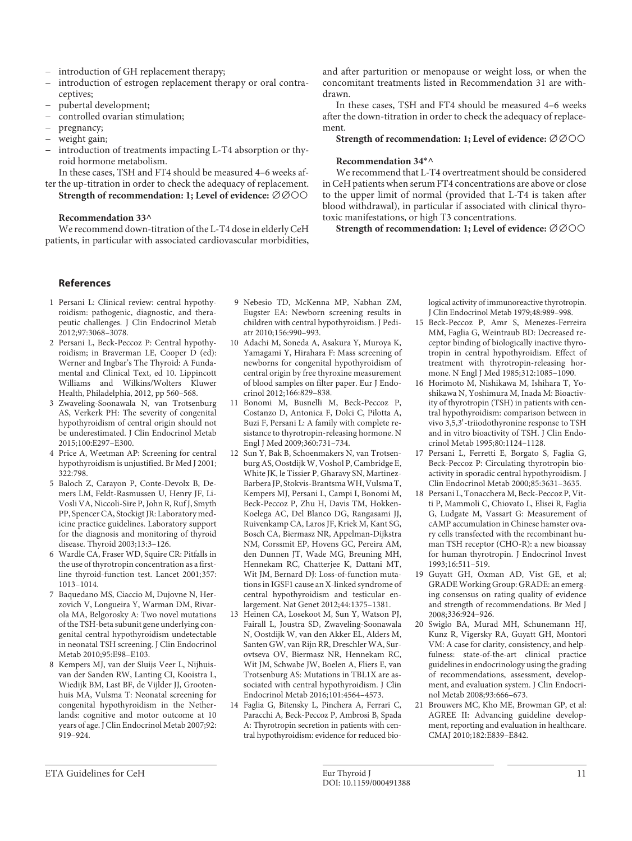- introduction of GH replacement therapy;
- introduction of estrogen replacement therapy or oral contraceptives;
- pubertal development;
- controlled ovarian stimulation;
- pregnancy;
- weight gain;
- introduction of treatments impacting L-T4 absorption or thyroid hormone metabolism.
- In these cases, TSH and FT4 should be measured 4–6 weeks after the up-titration in order to check the adequacy of replacement.
- **Strength of recommendation: 1; Level of evidence:** ∅∅○○

#### **Recommendation 33^**

We recommend down-titration of the L-T4 dose in elderly CeH patients, in particular with associated cardiovascular morbidities, and after parturition or menopause or weight loss, or when the concomitant treatments listed in Recommendation 31 are withdrawn.

In these cases, TSH and FT4 should be measured 4–6 weeks after the down-titration in order to check the adequacy of replacement.

#### **Strength of recommendation: 1; Level of evidence:** ∅∅○○

#### **Recommendation 34**\***^**

We recommend that L-T4 overtreatment should be considered in CeH patients when serum FT4 concentrations are above or close to the upper limit of normal (provided that L-T4 is taken after blood withdrawal), in particular if associated with clinical thyrotoxic manifestations, or high T3 concentrations.

**Strength of recommendation: 1; Level of evidence:** ∅∅○○

#### **References**

- 1 Persani L: Clinical review: central hypothyroidism: pathogenic, diagnostic, and therapeutic challenges. J Clin Endocrinol Metab 2012;97:3068–3078.
- 2 Persani L, Beck-Peccoz P: Central hypothyroidism; in Braverman LE, Cooper D (ed): Werner and Ingbar's The Thyroid: A Fundamental and Clinical Text, ed 10. Lippincott Williams and Wilkins/Wolters Kluwer Health, Philadelphia, 2012, pp 560–568.
- 3 Zwaveling-Soonawala N, van Trotsenburg AS, Verkerk PH: The severity of congenital hypothyroidism of central origin should not be underestimated. J Clin Endocrinol Metab 2015;100:E297–E300.
- 4 Price A, Weetman AP: Screening for central hypothyroidism is unjustified. Br Med J 2001; 322:798.
- 5 Baloch Z, Carayon P, Conte-Devolx B, Demers LM, Feldt-Rasmussen U, Henry JF, Li-Vosli VA, Niccoli-Sire P, John R, Ruf J, Smyth PP, Spencer CA, Stockigt JR: Laboratory medicine practice guidelines. Laboratory support for the diagnosis and monitoring of thyroid disease. Thyroid 2003;13:3–126.
- 6 Wardle CA, Fraser WD, Squire CR: Pitfalls in the use of thyrotropin concentration as a firstline thyroid-function test. Lancet 2001;357: 1013–1014.
- 7 Baquedano MS, Ciaccio M, Dujovne N, Herzovich V, Longueira Y, Warman DM, Rivarola MA, Belgorosky A: Two novel mutations of the TSH-beta subunit gene underlying congenital central hypothyroidism undetectable in neonatal TSH screening. J Clin Endocrinol Metab 2010;95:E98–E103.
- 8 Kempers MJ, van der Sluijs Veer L, Nijhuisvan der Sanden RW, Lanting CI, Kooistra L, Wiedijk BM, Last BF, de Vijlder JJ, Grootenhuis MA, Vulsma T: Neonatal screening for congenital hypothyroidism in the Netherlands: cognitive and motor outcome at 10 years of age. J Clin Endocrinol Metab 2007;92: 919–924.
- 9 Nebesio TD, McKenna MP, Nabhan ZM, Eugster EA: Newborn screening results in children with central hypothyroidism. J Pediatr 2010;156:990–993.
- 10 Adachi M, Soneda A, Asakura Y, Muroya K, Yamagami Y, Hirahara F: Mass screening of newborns for congenital hypothyroidism of central origin by free thyroxine measurement of blood samples on filter paper. Eur J Endocrinol 2012;166:829–838.
- 11 Bonomi M, Busnelli M, Beck-Peccoz P, Costanzo D, Antonica F, Dolci C, Pilotta A, Buzi F, Persani L: A family with complete resistance to thyrotropin-releasing hormone. N Engl J Med 2009;360:731–734.
- 12 Sun Y, Bak B, Schoenmakers N, van Trotsenburg AS, Oostdijk W, Voshol P, Cambridge E, White JK, le Tissier P, Gharavy SN, Martinez-Barbera JP, Stokvis-Brantsma WH, Vulsma T, Kempers MJ, Persani L, Campi I, Bonomi M, Beck-Peccoz P, Zhu H, Davis TM, Hokken-Koelega AC, Del Blanco DG, Rangasami JJ, Ruivenkamp CA, Laros JF, Kriek M, Kant SG, Bosch CA, Biermasz NR, Appelman-Dijkstra NM, Corssmit EP, Hovens GC, Pereira AM, den Dunnen JT, Wade MG, Breuning MH, Hennekam RC, Chatterjee K, Dattani MT, Wit JM, Bernard DJ: Loss-of-function mutations in IGSF1 cause an X-linked syndrome of central hypothyroidism and testicular enlargement. Nat Genet 2012;44:1375–1381.
- 13 Heinen CA, Losekoot M, Sun Y, Watson PJ, Fairall L, Joustra SD, Zwaveling-Soonawala N, Oostdijk W, van den Akker EL, Alders M, Santen GW, van Rijn RR, Dreschler WA, Surovtseva OV, Biermasz NR, Hennekam RC, Wit JM, Schwabe JW, Boelen A, Fliers E, van Trotsenburg AS: Mutations in TBL1X are associated with central hypothyroidism. J Clin Endocrinol Metab 2016;101:4564–4573.
- 14 Faglia G, Bitensky L, Pinchera A, Ferrari C, Paracchi A, Beck-Peccoz P, Ambrosi B, Spada A: Thyrotropin secretion in patients with central hypothyroidism: evidence for reduced bio-

logical activity of immunoreactive thyrotropin. J Clin Endocrinol Metab 1979;48:989–998.

- 15 Beck-Peccoz P, Amr S, Menezes-Ferreira MM, Faglia G, Weintraub BD: Decreased receptor binding of biologically inactive thyrotropin in central hypothyroidism. Effect of treatment with thyrotropin-releasing hormone. N Engl J Med 1985;312:1085–1090.
- 16 Horimoto M, Nishikawa M, Ishihara T, Yoshikawa N, Yoshimura M, Inada M: Bioactivity of thyrotropin (TSH) in patients with central hypothyroidism: comparison between in vivo 3,5,3′-triiodothyronine response to TSH and in vitro bioactivity of TSH. J Clin Endocrinol Metab 1995;80:1124–1128.
- 17 Persani L, Ferretti E, Borgato S, Faglia G, Beck-Peccoz P: Circulating thyrotropin bioactivity in sporadic central hypothyroidism. J Clin Endocrinol Metab 2000;85:3631–3635.
- 18 Persani L, Tonacchera M, Beck-Peccoz P, Vitti P, Mammoli C, Chiovato L, Elisei R, Faglia G, Ludgate M, Vassart G: Measurement of cAMP accumulation in Chinese hamster ovary cells transfected with the recombinant human TSH receptor (CHO-R): a new bioassay for human thyrotropin. J Endocrinol Invest 1993;16:511–519.
- Guyatt GH, Oxman AD, Vist GE, et al; GRADE Working Group: GRADE: an emerging consensus on rating quality of evidence and strength of recommendations. Br Med J 2008;336:924–926.
- 20 Swiglo BA, Murad MH, Schunemann HJ, Kunz R, Vigersky RA, Guyatt GH, Montori VM: A case for clarity, consistency, and helpfulness: state-of-the-art clinical practice guidelines in endocrinology using the grading of recommendations, assessment, development, and evaluation system. J Clin Endocrinol Metab 2008;93:666–673.
- 21 Brouwers MC, Kho ME, Browman GP, et al: AGREE II: Advancing guideline development, reporting and evaluation in healthcare. CMAJ 2010;182:E839–E842.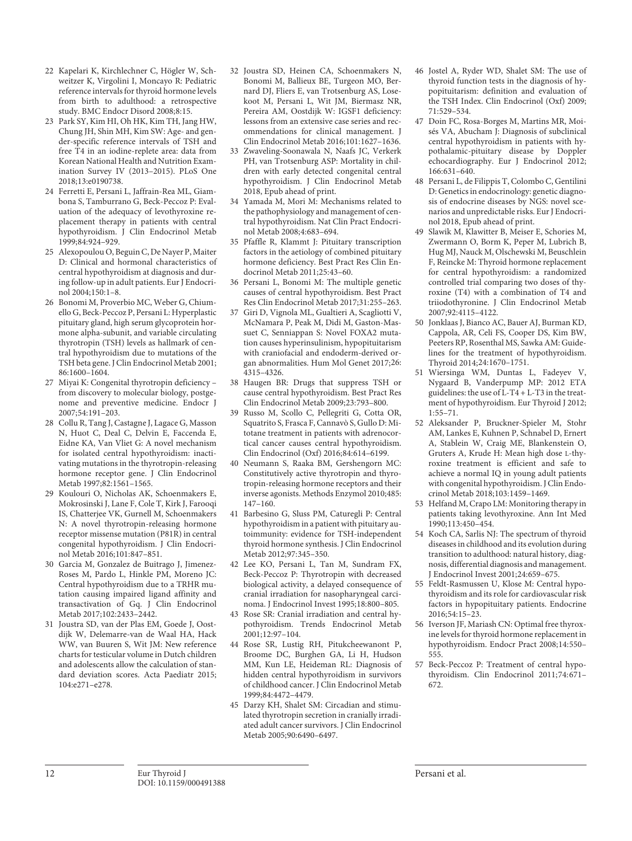- 22 Kapelari K, Kirchlechner C, Högler W, Schweitzer K, Virgolini I, Moncayo R: Pediatric reference intervals for thyroid hormone levels from birth to adulthood: a retrospective study. BMC Endocr Disord 2008;8:15.
- 23 Park SY, Kim HI, Oh HK, Kim TH, Jang HW, Chung JH, Shin MH, Kim SW: Age- and gender-specific reference intervals of TSH and free T4 in an iodine-replete area: data from Korean National Health and Nutrition Examination Survey IV (2013–2015). PLoS One 2018;13:e0190738.
- 24 Ferretti E, Persani L, Jaffrain-Rea ML, Giambona S, Tamburrano G, Beck-Peccoz P: Evaluation of the adequacy of levothyroxine replacement therapy in patients with central hypothyroidism. J Clin Endocrinol Metab 1999;84:924–929.
- 25 Alexopoulou O, Beguin C, De Nayer P, Maiter D: Clinical and hormonal characteristics of central hypothyroidism at diagnosis and during follow-up in adult patients. Eur J Endocrinol 2004;150:1–8.
- 26 Bonomi M, Proverbio MC, Weber G, Chiumello G, Beck-Peccoz P, Persani L: Hyperplastic pituitary gland, high serum glycoprotein hormone alpha-subunit, and variable circulating thyrotropin (TSH) levels as hallmark of central hypothyroidism due to mutations of the TSH beta gene. J Clin Endocrinol Metab 2001; 86:1600–1604.
- 27 Miyai K: Congenital thyrotropin deficiency from discovery to molecular biology, postgenome and preventive medicine. Endocr J 2007;54:191–203.
- 28 Collu R, Tang J, Castagne J, Lagace G, Masson N, Huot C, Deal C, Delvin E, Faccenda E, Eidne KA, Van Vliet G: A novel mechanism for isolated central hypothyroidism: inactivating mutations in the thyrotropin-releasing hormone receptor gene. J Clin Endocrinol Metab 1997;82:1561–1565.
- 29 Koulouri O, Nicholas AK, Schoenmakers E, Mokrosinski J, Lane F, Cole T, Kirk J, Farooqi IS, Chatterjee VK, Gurnell M, Schoenmakers N: A novel thyrotropin-releasing hormone receptor missense mutation (P81R) in central congenital hypothyroidism. J Clin Endocrinol Metab 2016;101:847–851.
- 30 Garcia M, Gonzalez de Buitrago J, Jimenez-Roses M, Pardo L, Hinkle PM, Moreno JC: Central hypothyroidism due to a TRHR mutation causing impaired ligand affinity and transactivation of Gq. J Clin Endocrinol Metab 2017;102:2433–2442.
- 31 Joustra SD, van der Plas EM, Goede J, Oostdijk W, Delemarre-van de Waal HA, Hack WW, van Buuren S, Wit JM: New reference charts for testicular volume in Dutch children and adolescents allow the calculation of standard deviation scores. Acta Paediatr 2015; 104:e271–e278.
- 32 Joustra SD, Heinen CA, Schoenmakers N, Bonomi M, Ballieux BE, Turgeon MO, Bernard DJ, Fliers E, van Trotsenburg AS, Losekoot M, Persani L, Wit JM, Biermasz NR, Pereira AM, Oostdijk W: IGSF1 deficiency: lessons from an extensive case series and recommendations for clinical management. J Clin Endocrinol Metab 2016;101:1627–1636.
- 33 Zwaveling-Soonawala N, Naafs JC, Verkerk PH, van Trotsenburg ASP: Mortality in children with early detected congenital central hypothyroidism. J Clin Endocrinol Metab 2018, Epub ahead of print.
- 34 Yamada M, Mori M: Mechanisms related to the pathophysiology and management of central hypothyroidism. Nat Clin Pract Endocrinol Metab 2008;4:683–694.
- 35 Pfaffle R, Klammt J: Pituitary transcription factors in the aetiology of combined pituitary hormone deficiency. Best Pract Res Clin Endocrinol Metab 2011;25:43–60.
- 36 Persani L, Bonomi M: The multiple genetic causes of central hypothyroidism. Best Pract Res Clin Endocrinol Metab 2017;31:255–263.
- 37 Giri D, Vignola ML, Gualtieri A, Scagliotti V, McNamara P, Peak M, Didi M, Gaston-Massuet C, Senniappan S: Novel FOXA2 mutation causes hyperinsulinism, hypopituitarism with craniofacial and endoderm-derived organ abnormalities. Hum Mol Genet 2017;26: 4315–4326.
- 38 Haugen BR: Drugs that suppress TSH or cause central hypothyroidism. Best Pract Res Clin Endocrinol Metab 2009;23:793–800.
- 39 Russo M, Scollo C, Pellegriti G, Cotta OR, Squatrito S, Frasca F, Cannavò S, Gullo D: Mitotane treatment in patients with adrenocortical cancer causes central hypothyroidism. Clin Endocrinol (Oxf) 2016;84:614–6199.
- 40 Neumann S, Raaka BM, Gershengorn MC: Constitutively active thyrotropin and thyrotropin-releasing hormone receptors and their inverse agonists. Methods Enzymol 2010;485: 147–160.
- 41 Barbesino G, Sluss PM, Caturegli P: Central hypothyroidism in a patient with pituitary autoimmunity: evidence for TSH-independent thyroid hormone synthesis. J Clin Endocrinol Metab 2012;97:345–350.
- 42 Lee KO, Persani L, Tan M, Sundram FX, Beck-Peccoz P: Thyrotropin with decreased biological activity, a delayed consequence of cranial irradiation for nasopharyngeal carcinoma. J Endocrinol Invest 1995;18:800–805.
- 43 Rose SR: Cranial irradiation and central hypothyroidism. Trends Endocrinol Metab 2001;12:97–104.
- 44 Rose SR, Lustig RH, Pitukcheewanont P, Broome DC, Burghen GA, Li H, Hudson MM, Kun LE, Heideman RL: Diagnosis of hidden central hypothyroidism in survivors of childhood cancer. J Clin Endocrinol Metab 1999;84:4472–4479.
- 45 Darzy KH, Shalet SM: Circadian and stimulated thyrotropin secretion in cranially irradiated adult cancer survivors. J Clin Endocrinol Metab 2005;90:6490–6497.
- 46 Jostel A, Ryder WD, Shalet SM: The use of thyroid function tests in the diagnosis of hypopituitarism: definition and evaluation of the TSH Index. Clin Endocrinol (Oxf) 2009; 71:529–534.
- 47 Doin FC, Rosa-Borges M, Martins MR, Moisés VA, Abucham J: Diagnosis of subclinical central hypothyroidism in patients with hypothalamic-pituitary disease by Doppler echocardiography. Eur J Endocrinol 2012; 166:631–640.
- 48 Persani L, de Filippis T, Colombo C, Gentilini D: Genetics in endocrinology: genetic diagnosis of endocrine diseases by NGS: novel scenarios and unpredictable risks. Eur J Endocrinol 2018, Epub ahead of print.
- 49 Slawik M, Klawitter B, Meiser E, Schories M, Zwermann O, Borm K, Peper M, Lubrich B, Hug MJ, Nauck M, Olschewski M, Beuschlein F, Reincke M: Thyroid hormone replacement for central hypothyroidism: a randomized controlled trial comparing two doses of thyroxine (T4) with a combination of T4 and triiodothyronine. J Clin Endocrinol Metab 2007;92:4115–4122.
- 50 Jonklaas J, Bianco AC, Bauer AJ, Burman KD, Cappola, AR, Celi FS, Cooper DS, Kim BW, Peeters RP, Rosenthal MS, Sawka AM: Guidelines for the treatment of hypothyroidism. Thyroid 2014;24:1670–1751.
- 51 Wiersinga WM, Duntas L, Fadeyev V, Nygaard B, Vanderpump MP: 2012 ETA guidelines: the use of  $\hat{L}$ -T4 + L-T3 in the treatment of hypothyroidism. Eur Thyroid J 2012; 1:55–71.
- 52 Aleksander P, Bruckner-Spieler M, Stohr AM, Lankes E, Kuhnen P, Schnabel D, Ernert A, Stablein W, Craig ME, Blankenstein O, Gruters A, Krude H: Mean high dose L-thyroxine treatment is efficient and safe to achieve a normal IQ in young adult patients with congenital hypothyroidism. J Clin Endocrinol Metab 2018;103:1459–1469.
- 53 Helfand M, Crapo LM: Monitoring therapy in patients taking levothyroxine. Ann Int Med 1990;113:450–454.
- 54 Koch CA, Sarlis NJ: The spectrum of thyroid diseases in childhood and its evolution during transition to adulthood: natural history, diagnosis, differential diagnosis and management. J Endocrinol Invest 2001;24:659–675.
- 55 Feldt-Rasmussen U, Klose M: Central hypothyroidism and its role for cardiovascular risk factors in hypopituitary patients. Endocrine 2016;54:15–23.
- 56 Iverson JF, Mariash CN: Optimal free thyroxine levels for thyroid hormone replacement in hypothyroidism. Endocr Pract 2008;14:550– 555.
- 57 Beck-Peccoz P: Treatment of central hypothyroidism. Clin Endocrinol 2011;74:671– 672.